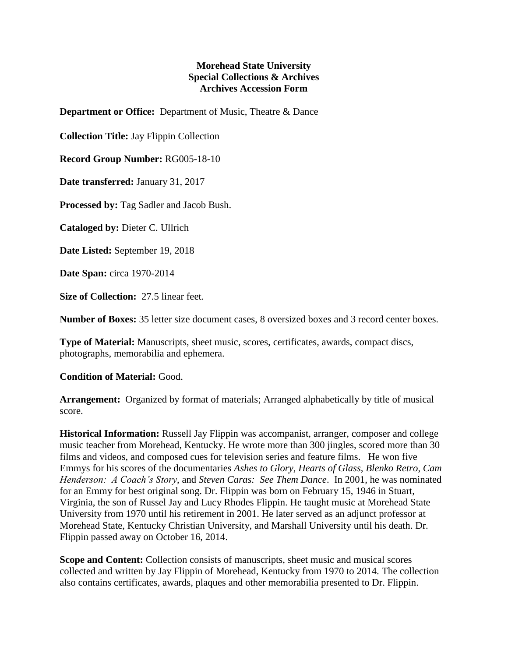## **Morehead State University Special Collections & Archives Archives Accession Form**

**Department or Office:** Department of Music, Theatre & Dance

**Collection Title:** Jay Flippin Collection

**Record Group Number:** RG005-18-10

**Date transferred:** January 31, 2017

**Processed by:** Tag Sadler and Jacob Bush.

**Cataloged by:** Dieter C. Ullrich

**Date Listed:** September 19, 2018

**Date Span:** circa 1970-2014

**Size of Collection:** 27.5 linear feet.

**Number of Boxes:** 35 letter size document cases, 8 oversized boxes and 3 record center boxes.

**Type of Material:** Manuscripts, sheet music, scores, certificates, awards, compact discs, photographs, memorabilia and ephemera.

## **Condition of Material:** Good.

**Arrangement:** Organized by format of materials; Arranged alphabetically by title of musical score.

**Historical Information:** Russell Jay Flippin was accompanist, arranger, composer and college music teacher from Morehead, Kentucky. He wrote more than 300 jingles, scored more than 30 films and videos, and composed cues for television series and feature films. He won five Emmys for his scores of the documentaries *Ashes to Glory*, *Hearts of Glass*, *Blenko Retro*, *Cam Henderson: A Coach's Story*, and *Steven Caras: See Them Dance*. In 2001, he was nominated for an Emmy for best original song. Dr. Flippin was born on February 15, 1946 in Stuart, Virginia, the son of Russel Jay and Lucy Rhodes Flippin. He taught music at Morehead State University from 1970 until his retirement in 2001. He later served as an adjunct professor at Morehead State, Kentucky Christian University, and Marshall University until his death. Dr. Flippin passed away on October 16, 2014.

**Scope and Content:** Collection consists of manuscripts, sheet music and musical scores collected and written by Jay Flippin of Morehead, Kentucky from 1970 to 2014. The collection also contains certificates, awards, plaques and other memorabilia presented to Dr. Flippin.